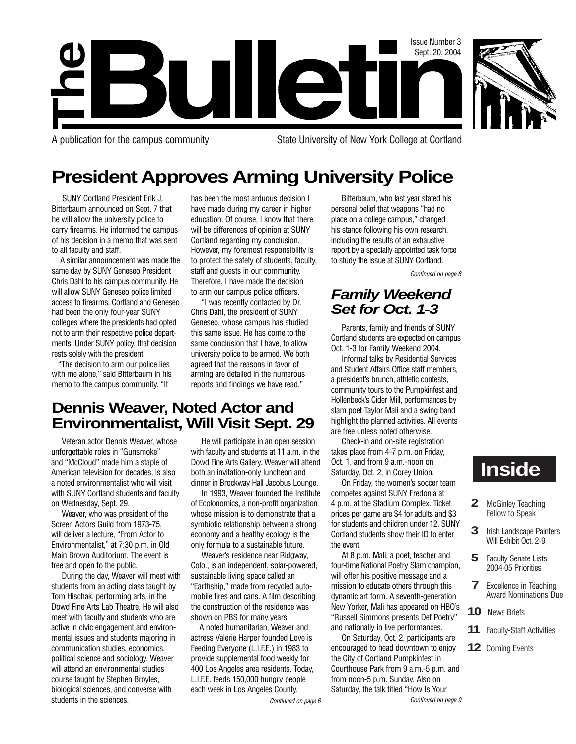

**The**

A publication for the campus community State University of New York College at Cortland

# **President Approves Arming University Police**

**Bulleti** 

SUNY Cortland President Erik J. Bitterbaum announced on Sept. 7 that he will allow the university police to carry firearms. He informed the campus of his decision in a memo that was sent to all faculty and staff.

A similar announcement was made the same day by SUNY Geneseo President Chris Dahl to his campus community. He will allow SUNY Geneseo police limited access to firearms. Cortland and Geneseo had been the only four-year SUNY colleges where the presidents had opted not to arm their respective police departments. Under SUNY policy, that decision rests solely with the president.

"The decision to arm our police lies with me alone," said Bitterbaum in his memo to the campus community. "It

has been the most arduous decision I have made during my career in higher education. Of course, I know that there will be differences of opinion at SUNY Cortland regarding my conclusion. However, my foremost responsibility is to protect the safety of students, faculty, staff and guests in our community. Therefore, I have made the decision to arm our campus police officers.

"I was recently contacted by Dr. Chris Dahl, the president of SUNY Geneseo, whose campus has studied this same issue. He has come to the same conclusion that I have, to allow university police to be armed. We both agreed that the reasons in favor of arming are detailed in the numerous reports and findings we have read."

## **Dennis Weaver, Noted Actor and Environmentalist, Will Visit Sept. 29**

Veteran actor Dennis Weaver, whose unforgettable roles in "Gunsmoke" and "McCloud" made him a staple of American television for decades, is also a noted environmentalist who will visit with SUNY Cortland students and faculty on Wednesday, Sept. 29.

Weaver, who was president of the Screen Actors Guild from 1973-75, will deliver a lecture, "From Actor to Environmentalist," at 7:30 p.m. in Old Main Brown Auditorium. The event is free and open to the public.

During the day, Weaver will meet with students from an acting class taught by Tom Hischak, performing arts, in the Dowd Fine Arts Lab Theatre. He will also meet with faculty and students who are active in civic engagement and environmental issues and students majoring in communication studies, economics, political science and sociology. Weaver will attend an environmental studies course taught by Stephen Broyles, biological sciences, and converse with students in the sciences.

He will participate in an open session with faculty and students at 11 a.m. in the Dowd Fine Arts Gallery. Weaver will attend both an invitation-only luncheon and dinner in Brockway Hall Jacobus Lounge.

In 1993, Weaver founded the Institute of Ecolonomics, a non-profit organization whose mission is to demonstrate that a symbiotic relationship between a strong economy and a healthy ecology is the only formula to a sustainable future.

Weaver's residence near Ridgway, Colo., is an independent, solar-powered, sustainable living space called an "Earthship," made from recycled automobile tires and cans. A film describing the construction of the residence was shown on PBS for many years.

A noted humanitarian, Weaver and actress Valerie Harper founded Love is Feeding Everyone (L.I.F.E.) in 1983 to provide supplemental food weekly for 400 Los Angeles area residents. Today, L.I.F.E. feeds 150,000 hungry people each week in Los Angeles County.

Continued on page 6 Continued on page 9

Bitterbaum, who last year stated his personal belief that weapons "had no place on a college campus," changed his stance following his own research, including the results of an exhaustive report by a specially appointed task force to study the issue at SUNY Cortland.

Continued on page 8

Issue Number 3 Sept. 20, 2004

## **Family Weekend Set for Oct. 1-3**

Parents, family and friends of SUNY Cortland students are expected on campus Oct. 1-3 for Family Weekend 2004.

Informal talks by Residential Services and Student Affairs Office staff members, a president's brunch, athletic contests, community tours to the Pumpkinfest and Hollenbeck's Cider Mill, performances by slam poet Taylor Mali and a swing band highlight the planned activities. All events are free unless noted otherwise.

Check-in and on-site registration takes place from 4-7 p.m. on Friday, Oct. 1, and from 9 a.m.-noon on Saturday, Oct. 2, in Corey Union.

On Friday, the women's soccer team competes against SUNY Fredonia at 4 p.m. at the Stadium Complex. Ticket prices per game are \$4 for adults and \$3 for students and children under 12. SUNY Cortland students show their ID to enter the event.

At 8 p.m. Mali, a poet, teacher and four-time National Poetry Slam champion, will offer his positive message and a mission to educate others through this dynamic art form. A seventh-generation New Yorker, Mali has appeared on HBO's "Russell Simmons presents Def Poetry" and nationally in live performances.

On Saturday, Oct. 2, participants are encouraged to head downtown to enjoy the City of Cortland Pumpkinfest in Courthouse Park from 9 a.m.-5 p.m. and from noon-5 p.m. Sunday. Also on Saturday, the talk titled "How Is Your

# **Inside**

- **2** McGinley Teaching Fellow to Speak
- **3** Irish Landscape Painters Will Exhibit Oct. 2-9
- **5** Faculty Senate Lists 2004-05 Priorities
- **7** Excellence in Teaching Award Nominations Due
- **10** News Briefs
- **11** Faculty-Staff Activities
- **12** Coming Events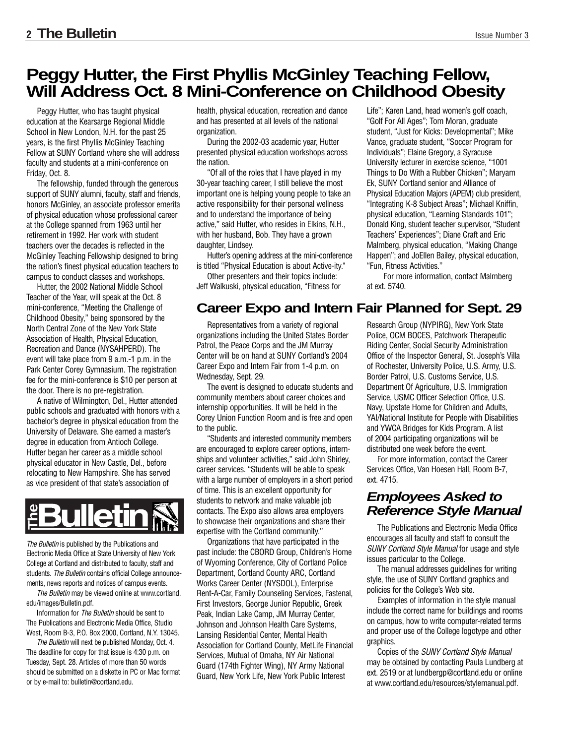## **Peggy Hutter, the First Phyllis McGinley Teaching Fellow, Will Address Oct. 8 Mini-Conference on Childhood Obesity**

Peggy Hutter, who has taught physical education at the Kearsarge Regional Middle School in New London, N.H. for the past 25 years, is the first Phyllis McGinley Teaching Fellow at SUNY Cortland where she will address faculty and students at a mini-conference on Friday, Oct. 8.

The fellowship, funded through the generous support of SUNY alumni, faculty, staff and friends, honors McGinley, an associate professor emerita of physical education whose professional career at the College spanned from 1963 until her retirement in 1992. Her work with student teachers over the decades is reflected in the McGinley Teaching Fellowship designed to bring the nation's finest physical education teachers to campus to conduct classes and workshops.

Hutter, the 2002 National Middle School Teacher of the Year, will speak at the Oct. 8 mini-conference, "Meeting the Challenge of Childhood Obesity," being sponsored by the North Central Zone of the New York State Association of Health, Physical Education, Recreation and Dance (NYSAHPERD). The event will take place from 9 a.m.-1 p.m. in the Park Center Corey Gymnasium. The registration fee for the mini-conference is \$10 per person at the door. There is no pre-registration.

A native of Wilmington, Del., Hutter attended public schools and graduated with honors with a bachelor's degree in physical education from the University of Delaware. She earned a master's degree in education from Antioch College. Hutter began her career as a middle school physical educator in New Castle, Del., before relocating to New Hampshire. She has served as vice president of that state's association of

The Bulletin is published by the Publications and Electronic Media Office at State University of New York College at Cortland and distributed to faculty, staff and students. The Bulletin contains official College announcements, news reports and notices of campus events. **Profileration School Correlation**<br>
The Bulletin is published by the Publica<br>
Electronic Media Office at State Univers<br>
College at Cortland and distributed to fa<br>
students. The Bulletin contains official Cortland<br>
The Bull

The Bulletin may be viewed online at www.cortland. edu/images/Bulletin.pdf.

Information for The Bulletin should be sent to The Publications and Electronic Media Office, Studio West, Room B-3, P.O. Box 2000, Cortland, N.Y. 13045.

The Bulletin will next be published Monday, Oct. 4. The deadline for copy for that issue is 4:30 p.m. on Tuesday, Sept. 28. Articles of more than 50 words should be submitted on a diskette in PC or Mac format

health, physical education, recreation and dance and has presented at all levels of the national organization.

During the 2002-03 academic year, Hutter presented physical education workshops across the nation.

"Of all of the roles that I have played in my 30-year teaching career, I still believe the most important one is helping young people to take an active responsibility for their personal wellness and to understand the importance of being active," said Hutter, who resides in Elkins, N.H., with her husband, Bob. They have a grown daughter, Lindsey.

Hutter's opening address at the mini-conference is titled "Physical Education is about Active-ity."

Other presenters and their topics include: Jeff Walkuski, physical education, "Fitness for

## **Career Expo and Intern Fair Planned for Sept. 29**

Representatives from a variety of regional organizations including the United States Border Patrol, the Peace Corps and the JM Murray Center will be on hand at SUNY Cortland's 2004 Career Expo and Intern Fair from 1-4 p.m. on Wednesday, Sept. 29.

The event is designed to educate students and community members about career choices and internship opportunities. It will be held in the Corey Union Function Room and is free and open to the public.

"Students and interested community members are encouraged to explore career options, internships and volunteer activities," said John Shirley, career services. "Students will be able to speak with a large number of employers in a short period of time. This is an excellent opportunity for students to network and make valuable job contacts. The Expo also allows area employers to showcase their organizations and share their expertise with the Cortland community."

Organizations that have participated in the past include: the CBORD Group, Children's Home of Wyoming Conference, City of Cortland Police Department, Cortland County ARC, Cortland Works Career Center (NYSDOL), Enterprise Rent-A-Car, Family Counseling Services, Fastenal, First Investors, George Junior Republic, Greek Peak, Indian Lake Camp, JM Murray Center, Johnson and Johnson Health Care Systems, Lansing Residential Center, Mental Health Association for Cortland County, MetLife Financial Services, Mutual of Omaha, NY Air National Guard (174th Fighter Wing), NY Army National Guard, New York Life, New York Public Interest

Life"; Karen Land, head women's golf coach, "Golf For All Ages"; Tom Moran, graduate student, "Just for Kicks: Developmental"; Mike Vance, graduate student, "Soccer Program for Individuals"; Elaine Gregory, a Syracuse University lecturer in exercise science, "1001 Things to Do With a Rubber Chicken"; Maryam Ek, SUNY Cortland senior and Alliance of Physical Education Majors (APEM) club president, "Integrating K-8 Subject Areas"; Michael Kniffin, physical education, "Learning Standards 101"; Donald King, student teacher supervisor, "Student Teachers' Experiences"; Diane Craft and Eric Malmberg, physical education, "Making Change Happen"; and JoEllen Bailey, physical education, "Fun, Fitness Activities."

For more information, contact Malmberg at ext. 5740.

Research Group (NYPIRG), New York State Police, OCM BOCES, Patchwork Therapeutic Riding Center, Social Security Administration Office of the Inspector General, St. Joseph's Villa of Rochester, University Police, U.S. Army, U.S. Border Patrol, U.S. Customs Service, U.S. Department Of Agriculture, U.S. Immigration Service, USMC Officer Selection Office, U.S. Navy, Upstate Home for Children and Adults, YAI/National Institute for People with Disabilities and YWCA Bridges for Kids Program. A list of 2004 participating organizations will be distributed one week before the event.

For more information, contact the Career Services Office, Van Hoesen Hall, Room B-7, ext. 4715.

## **Employees Asked to Reference Style Manual**

The Publications and Electronic Media Office encourages all faculty and staff to consult the SUNY Cortland Style Manual for usage and style issues particular to the College.

The manual addresses guidelines for writing style, the use of SUNY Cortland graphics and policies for the College's Web site.

Examples of information in the style manual include the correct name for buildings and rooms on campus, how to write computer-related terms and proper use of the College logotype and other graphics.

Copies of the SUNY Cortland Style Manual may be obtained by contacting Paula Lundberg at ext. 2519 or at lundbergp@cortland.edu or online at www.cortland.edu/resources/stylemanual.pdf.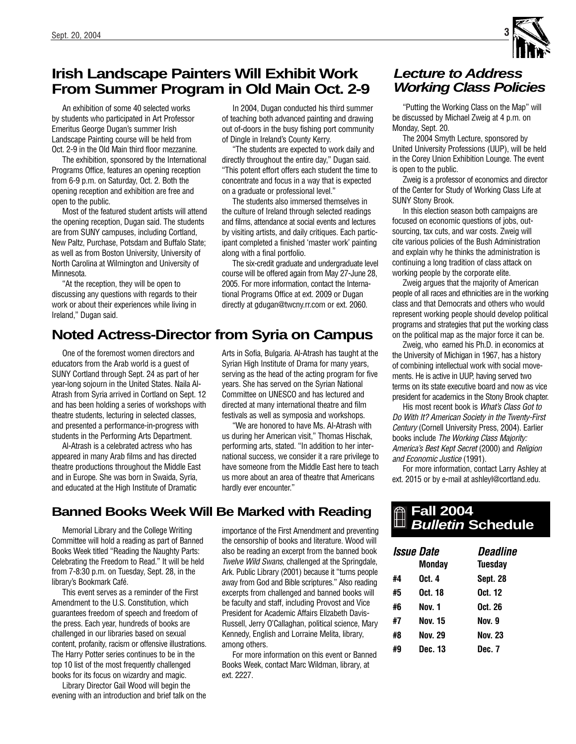## **Irish Landscape Painters Will Exhibit Work From Summer Program in Old Main Oct. 2-9**

An exhibition of some 40 selected works by students who participated in Art Professor Emeritus George Dugan's summer Irish Landscape Painting course will be held from Oct. 2-9 in the Old Main third floor mezzanine.

The exhibition, sponsored by the International Programs Office, features an opening reception from 6-9 p.m. on Saturday, Oct. 2. Both the opening reception and exhibition are free and open to the public.

Most of the featured student artists will attend the opening reception, Dugan said. The students are from SUNY campuses, including Cortland, New Paltz, Purchase, Potsdam and Buffalo State; as well as from Boston University, University of North Carolina at Wilmington and University of Minnesota.

"At the reception, they will be open to discussing any questions with regards to their work or about their experiences while living in Ireland," Dugan said.

In 2004, Dugan conducted his third summer of teaching both advanced painting and drawing out of-doors in the busy fishing port community of Dingle in Ireland's County Kerry.

"The students are expected to work daily and directly throughout the entire day," Dugan said. "This potent effort offers each student the time to concentrate and focus in a way that is expected on a graduate or professional level."

The students also immersed themselves in the culture of Ireland through selected readings and films, attendance at social events and lectures by visiting artists, and daily critiques. Each participant completed a finished 'master work' painting along with a final portfolio.

The six-credit graduate and undergraduate level course will be offered again from May 27-June 28, 2005. For more information, contact the International Programs Office at ext. 2009 or Dugan directly at gdugan@twcny.rr.com or ext. 2060.

## **Noted Actress-Director from Syria on Campus**

One of the foremost women directors and educators from the Arab world is a guest of SUNY Cortland through Sept. 24 as part of her year-long sojourn in the United States. Naila Al-Atrash from Syria arrived in Cortland on Sept. 12 and has been holding a series of workshops with theatre students, lecturing in selected classes, and presented a performance-in-progress with students in the Performing Arts Department.

Al-Atrash is a celebrated actress who has appeared in many Arab films and has directed theatre productions throughout the Middle East and in Europe. She was born in Swaida, Syria, and educated at the High Institute of Dramatic

**Banned Books Week Will Be Marked with Reading** 

Memorial Library and the College Writing Committee will hold a reading as part of Banned Books Week titled "Reading the Naughty Parts: Celebrating the Freedom to Read." It will be held from 7-8:30 p.m. on Tuesday, Sept. 28, in the library's Bookmark Café.

This event serves as a reminder of the First Amendment to the U.S. Constitution, which guarantees freedom of speech and freedom of the press. Each year, hundreds of books are challenged in our libraries based on sexual content, profanity, racism or offensive illustrations. The Harry Potter series continues to be in the top 10 list of the most frequently challenged books for its focus on wizardry and magic.

Library Director Gail Wood will begin the evening with an introduction and brief talk on the

Arts in Sofia, Bulgaria. Al-Atrash has taught at the Syrian High Institute of Drama for many years, serving as the head of the acting program for five years. She has served on the Syrian National Committee on UNESCO and has lectured and directed at many international theatre and film festivals as well as symposia and workshops.

"We are honored to have Ms. Al-Atrash with us during her American visit," Thomas Hischak, performing arts, stated. "In addition to her international success, we consider it a rare privilege to have someone from the Middle East here to teach us more about an area of theatre that Americans hardly ever encounter."

importance of the First Amendment and preventing the censorship of books and literature. Wood will also be reading an excerpt from the banned book Twelve Wild Swans, challenged at the Springdale, Ark. Public Library (2001) because it "turns people away from God and Bible scriptures." Also reading excerpts from challenged and banned books will be faculty and staff, including Provost and Vice President for Academic Affairs Elizabeth Davis-Russell, Jerry O'Callaghan, political science, Mary Kennedy, English and Lorraine Melita, library, among others.

For more information on this event or Banned Books Week, contact Marc Wildman, library, at ext. 2227.

## **Lecture to Address Working Class Policies**

"Putting the Working Class on the Map" will be discussed by Michael Zweig at 4 p.m. on Monday, Sept. 20.

The 2004 Smyth Lecture, sponsored by United University Professions (UUP), will be held in the Corey Union Exhibition Lounge. The event is open to the public.

Zweig is a professor of economics and director of the Center for Study of Working Class Life at SUNY Stony Brook.

In this election season both campaigns are focused on economic questions of jobs, outsourcing, tax cuts, and war costs. Zweig will cite various policies of the Bush Administration and explain why he thinks the administration is continuing a long tradition of class attack on working people by the corporate elite.

Zweig argues that the majority of American people of all races and ethnicities are in the working class and that Democrats and others who would represent working people should develop political programs and strategies that put the working class on the political map as the major force it can be.

Zweig, who earned his Ph.D. in economics at the University of Michigan in 1967, has a history of combining intellectual work with social movements. He is active in UUP, having served two terms on its state executive board and now as vice president for academics in the Stony Brook chapter.

His most recent book is What's Class Got to Do With It? American Society in the Twenty-First Century (Cornell University Press, 2004). Earlier books include The Working Class Majority: America's Best Kept Secret (2000) and Religion and Economic Justice (1991).

For more information, contact Larry Ashley at ext. 2015 or by e-mail at ashleyl@cortland.edu.

## **Fall 2004 Bulletin Schedule**

| <i><b>Issue Date</b></i> |         | <i><b>Deadline</b></i> |
|--------------------------|---------|------------------------|
|                          | Monday  | Tuesday                |
| #4                       | Oct. 4  | <b>Sept. 28</b>        |
| #5                       | Oct. 18 | Oct. 12                |
| #6                       | Nov. 1  | Oct. 26                |
| #7                       | Nov. 15 | Nov. 9                 |
| #8                       | Nov. 29 | Nov. 23                |
| #9                       | Dec. 13 | Dec. 7                 |

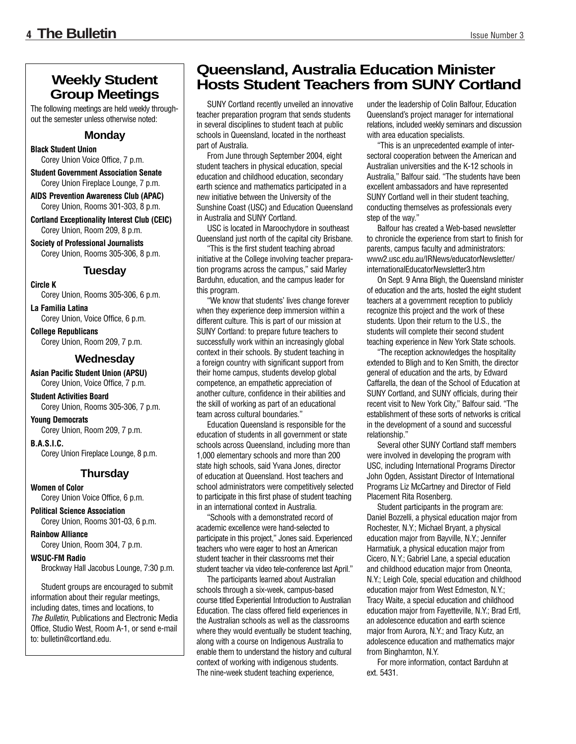## **Weekly Student Group Meetings**

The following meetings are held weekly throughout the semester unless otherwise noted:

### **Monday**

**Black Student Union** Corey Union Voice Office, 7 p.m.

**Student Government Association Senate** Corey Union Fireplace Lounge, 7 p.m.

**AIDS Prevention Awareness Club (APAC)** Corey Union, Rooms 301-303, 8 p.m.

**Cortland Exceptionality Interest Club (CEIC)** Corey Union, Room 209, 8 p.m.

**Society of Professional Journalists** Corey Union, Rooms 305-306, 8 p.m.

### **Tuesday**

**Circle K**

Corey Union, Rooms 305-306, 6 p.m.

**La Familia Latina** Corey Union, Voice Office, 6 p.m.

**College Republicans** Corey Union, Room 209, 7 p.m.

### **Wednesday**

**Asian Pacific Student Union (APSU)** Corey Union, Voice Office, 7 p.m.

**Student Activities Board** Corey Union, Rooms 305-306, 7 p.m.

**Young Democrats** Corey Union, Room 209, 7 p.m.

**B.A.S.I.C.**  Corey Union Fireplace Lounge, 8 p.m.

### **Thursday**

**Women of Color**  Corey Union Voice Office, 6 p.m.

**Political Science Association** Corey Union, Rooms 301-03, 6 p.m.

**Rainbow Alliance** Corey Union, Room 304, 7 p.m.

**WSUC-FM Radio** Brockway Hall Jacobus Lounge, 7:30 p.m.

Student groups are encouraged to submit information about their regular meetings, including dates, times and locations, to The Bulletin, Publications and Electronic Media Office, Studio West, Room A-1, or send e-mail to: bulletin@cortland.edu.

## **Queensland, Australia Education Minister Hosts Student Teachers from SUNY Cortland**

SUNY Cortland recently unveiled an innovative teacher preparation program that sends students in several disciplines to student teach at public schools in Queensland, located in the northeast part of Australia.

From June through September 2004, eight student teachers in physical education, special education and childhood education, secondary earth science and mathematics participated in a new initiative between the University of the Sunshine Coast (USC) and Education Queensland in Australia and SUNY Cortland.

USC is located in Maroochydore in southeast Queensland just north of the capital city Brisbane.

"This is the first student teaching abroad initiative at the College involving teacher preparation programs across the campus," said Marley Barduhn, education, and the campus leader for this program.

"We know that students' lives change forever when they experience deep immersion within a different culture. This is part of our mission at SUNY Cortland: to prepare future teachers to successfully work within an increasingly global context in their schools. By student teaching in a foreign country with significant support from their home campus, students develop global competence, an empathetic appreciation of another culture, confidence in their abilities and the skill of working as part of an educational team across cultural boundaries."

Education Queensland is responsible for the education of students in all government or state schools across Queensland, including more than 1,000 elementary schools and more than 200 state high schools, said Yvana Jones, director of education at Queensland. Host teachers and school administrators were competitively selected to participate in this first phase of student teaching in an international context in Australia.

"Schools with a demonstrated record of academic excellence were hand-selected to participate in this project," Jones said. Experienced teachers who were eager to host an American student teacher in their classrooms met their student teacher via video tele-conference last April."

The participants learned about Australian schools through a six-week, campus-based course titled Experiential Introduction to Australian Education. The class offered field experiences in the Australian schools as well as the classrooms where they would eventually be student teaching, along with a course on Indigenous Australia to enable them to understand the history and cultural context of working with indigenous students. The nine-week student teaching experience,

under the leadership of Colin Balfour, Education Queensland's project manager for international relations, included weekly seminars and discussion with area education specialists.

"This is an unprecedented example of intersectoral cooperation between the American and Australian universities and the K-12 schools in Australia," Balfour said. "The students have been excellent ambassadors and have represented SUNY Cortland well in their student teaching, conducting themselves as professionals every step of the way."

Balfour has created a Web-based newsletter to chronicle the experience from start to finish for parents, campus faculty and administrators: www2.usc.edu.au/IRNews/educatorNewsletter/ internationalEducatorNewsletter3.htm

On Sept. 9 Anna Bligh, the Queensland minister of education and the arts, hosted the eight student teachers at a government reception to publicly recognize this project and the work of these students. Upon their return to the U.S., the students will complete their second student teaching experience in New York State schools.

"The reception acknowledges the hospitality extended to Bligh and to Ken Smith, the director general of education and the arts, by Edward Caffarella, the dean of the School of Education at SUNY Cortland, and SUNY officials, during their recent visit to New York City," Balfour said. "The establishment of these sorts of networks is critical in the development of a sound and successful relationship."

Several other SUNY Cortland staff members were involved in developing the program with USC, including International Programs Director John Ogden, Assistant Director of International Programs Liz McCartney and Director of Field Placement Rita Rosenberg.

Student participants in the program are: Daniel Bozzelli, a physical education major from Rochester, N.Y.; Michael Bryant, a physical education major from Bayville, N.Y.; Jennifer Harmatiuk, a physical education major from Cicero, N.Y.; Gabriel Lane, a special education and childhood education major from Oneonta, N.Y.; Leigh Cole, special education and childhood education major from West Edmeston, N.Y.; Tracy Waite, a special education and childhood education major from Fayetteville, N.Y.; Brad Ertl, an adolescence education and earth science major from Aurora, N.Y.; and Tracy Kutz, an adolescence education and mathematics major from Binghamton, N.Y.

For more information, contact Barduhn at ext. 5431.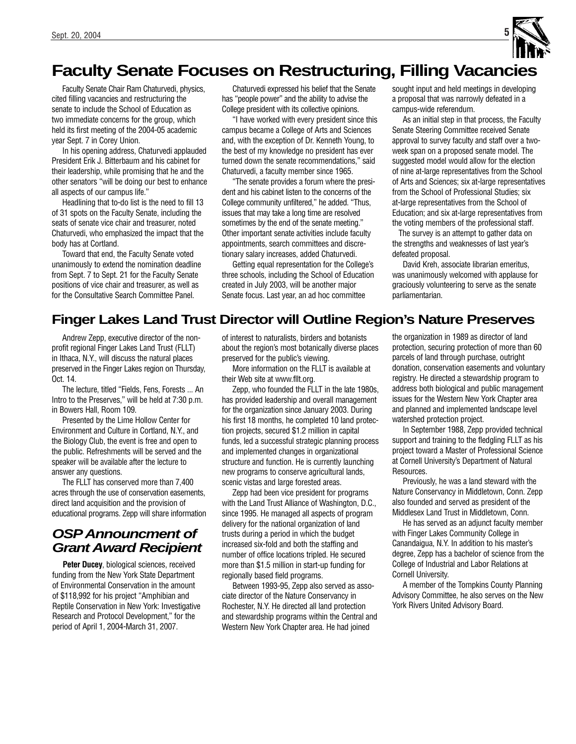

## **Faculty Senate Focuses on Restructuring, Filling Vacancies**

Faculty Senate Chair Ram Chaturvedi, physics, cited filling vacancies and restructuring the senate to include the School of Education as two immediate concerns for the group, which held its first meeting of the 2004-05 academic year Sept. 7 in Corey Union.

In his opening address, Chaturvedi applauded President Erik J. Bitterbaum and his cabinet for their leadership, while promising that he and the other senators "will be doing our best to enhance all aspects of our campus life."

Headlining that to-do list is the need to fill 13 of 31 spots on the Faculty Senate, including the seats of senate vice chair and treasurer, noted Chaturvedi, who emphasized the impact that the body has at Cortland.

Toward that end, the Faculty Senate voted unanimously to extend the nomination deadline from Sept. 7 to Sept. 21 for the Faculty Senate positions of vice chair and treasurer, as well as for the Consultative Search Committee Panel.

Chaturvedi expressed his belief that the Senate has "people power" and the ability to advise the College president with its collective opinions.

"I have worked with every president since this campus became a College of Arts and Sciences and, with the exception of Dr. Kenneth Young, to the best of my knowledge no president has ever turned down the senate recommendations," said Chaturvedi, a faculty member since 1965.

"The senate provides a forum where the president and his cabinet listen to the concerns of the College community unfiltered," he added. "Thus, issues that may take a long time are resolved sometimes by the end of the senate meeting." Other important senate activities include faculty appointments, search committees and discretionary salary increases, added Chaturvedi.

Getting equal representation for the College's three schools, including the School of Education created in July 2003, will be another major Senate focus. Last year, an ad hoc committee

sought input and held meetings in developing a proposal that was narrowly defeated in a campus-wide referendum.

As an initial step in that process, the Faculty Senate Steering Committee received Senate approval to survey faculty and staff over a twoweek span on a proposed senate model. The suggested model would allow for the election of nine at-large representatives from the School of Arts and Sciences; six at-large representatives from the School of Professional Studies; six at-large representatives from the School of Education; and six at-large representatives from the voting members of the professional staff.

The survey is an attempt to gather data on the strengths and weaknesses of last year's defeated proposal.

David Kreh, associate librarian emeritus, was unanimously welcomed with applause for graciously volunteering to serve as the senate parliamentarian.

## **Finger Lakes Land Trust Director will Outline Region's Nature Preserves**

Andrew Zepp, executive director of the nonprofit regional Finger Lakes Land Trust (FLLT) in Ithaca, N.Y., will discuss the natural places preserved in the Finger Lakes region on Thursday, Oct. 14.

The lecture, titled "Fields, Fens, Forests ... An Intro to the Preserves," will be held at 7:30 p.m. in Bowers Hall, Room 109.

Presented by the Lime Hollow Center for Environment and Culture in Cortland, N.Y., and the Biology Club, the event is free and open to the public. Refreshments will be served and the speaker will be available after the lecture to answer any questions.

The FLLT has conserved more than 7,400 acres through the use of conservation easements, direct land acquisition and the provision of educational programs. Zepp will share information

## **OSPAnnouncment of Grant Award Recipient**

**Peter Ducey**, biological sciences, received funding from the New York State Department of Environmental Conservation in the amount of \$118,992 for his project "Amphibian and Reptile Conservation in New York: Investigative Research and Protocol Development," for the period of April 1, 2004-March 31, 2007.

of interest to naturalists, birders and botanists about the region's most botanically diverse places preserved for the public's viewing.

More information on the FLLT is available at their Web site at www.fllt.org.

Zepp, who founded the FLLT in the late 1980s. has provided leadership and overall management for the organization since January 2003. During his first 18 months, he completed 10 land protection projects, secured \$1.2 million in capital funds, led a successful strategic planning process and implemented changes in organizational structure and function. He is currently launching new programs to conserve agricultural lands, scenic vistas and large forested areas.

Zepp had been vice president for programs with the Land Trust Alliance of Washington, D.C., since 1995. He managed all aspects of program delivery for the national organization of land trusts during a period in which the budget increased six-fold and both the staffing and number of office locations tripled. He secured more than \$1.5 million in start-up funding for regionally based field programs.

Between 1993-95, Zepp also served as associate director of the Nature Conservancy in Rochester, N.Y. He directed all land protection and stewardship programs within the Central and Western New York Chapter area. He had joined

the organization in 1989 as director of land protection, securing protection of more than 60 parcels of land through purchase, outright donation, conservation easements and voluntary registry. He directed a stewardship program to address both biological and public management issues for the Western New York Chapter area and planned and implemented landscape level watershed protection project.

In September 1988, Zepp provided technical support and training to the fledgling FLLT as his project toward a Master of Professional Science at Cornell University's Department of Natural Resources.

Previously, he was a land steward with the Nature Conservancy in Middletown, Conn. Zepp also founded and served as president of the Middlesex Land Trust in Middletown, Conn.

He has served as an adjunct faculty member with Finger Lakes Community College in Canandaigua, N.Y. In addition to his master's degree, Zepp has a bachelor of science from the College of Industrial and Labor Relations at Cornell University.

A member of the Tompkins County Planning Advisory Committee, he also serves on the New York Rivers United Advisory Board.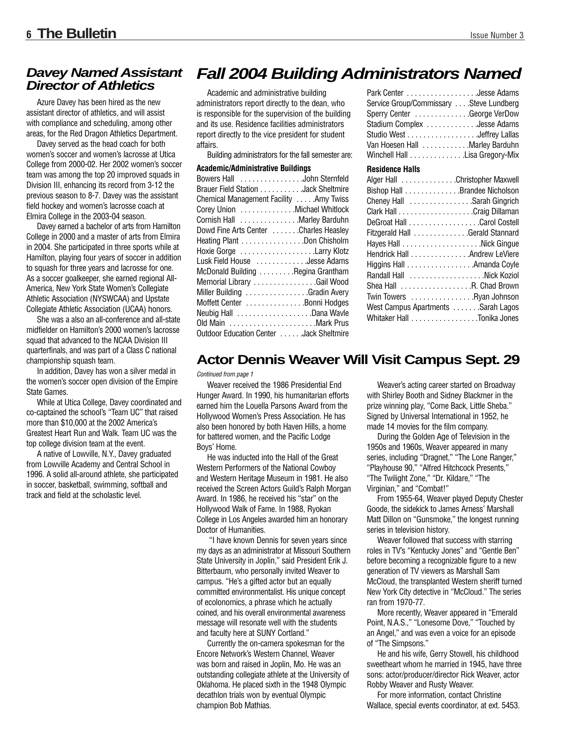## **Davey Named Assistant Director of Athletics**

Azure Davey has been hired as the new assistant director of athletics, and will assist with compliance and scheduling, among other areas, for the Red Dragon Athletics Department.

Davey served as the head coach for both women's soccer and women's lacrosse at Utica College from 2000-02. Her 2002 women's soccer team was among the top 20 improved squads in Division III, enhancing its record from 3-12 the previous season to 8-7. Davey was the assistant field hockey and women's lacrosse coach at Elmira College in the 2003-04 season.

Davey earned a bachelor of arts from Hamilton College in 2000 and a master of arts from Elmira in 2004. She participated in three sports while at Hamilton, playing four years of soccer in addition to squash for three years and lacrosse for one. As a soccer goalkeeper, she earned regional All-America, New York State Women's Collegiate Athletic Association (NYSWCAA) and Upstate Collegiate Athletic Association (UCAA) honors.

She was a also an all-conference and all-state midfielder on Hamilton's 2000 women's lacrosse squad that advanced to the NCAA Division III quarterfinals, and was part of a Class C national championship squash team.

In addition, Davey has won a silver medal in the women's soccer open division of the Empire State Games.

While at Utica College, Davey coordinated and co-captained the school's "Team UC" that raised more than \$10,000 at the 2002 America's Greatest Heart Run and Walk. Team UC was the top college division team at the event.

A native of Lowville, N.Y., Davey graduated from Lowville Academy and Central School in 1996. A solid all-around athlete, she participated in soccer, basketball, swimming, softball and track and field at the scholastic level.

## **Fall 2004 Building Administrators Named**

Academic and administrative building administrators report directly to the dean, who is responsible for the supervision of the building and its use. Residence facilities administrators report directly to the vice president for student affairs.

Building administrators for the fall semester are:

| <b>Academic/Administrative Buildings</b> |  |  |  |
|------------------------------------------|--|--|--|
| Bowers Hall John Sternfeld               |  |  |  |
| Brauer Field Station Jack Sheltmire      |  |  |  |
| Chemical Management Facility  Amy Twiss  |  |  |  |
| Corey Union Michael Whitlock             |  |  |  |
| Cornish Hall Marley Barduhn              |  |  |  |
| Dowd Fine Arts Center Charles Heasley    |  |  |  |
| Heating Plant Don Chisholm               |  |  |  |
| Hoxie Gorge Larry Klotz                  |  |  |  |
| Lusk Field House Jesse Adams             |  |  |  |
| McDonald Building Regina Grantham        |  |  |  |
| Memorial Library Gail Wood               |  |  |  |
| Miller Building Gradin Avery             |  |  |  |
| Moffett Center Bonni Hodges              |  |  |  |
|                                          |  |  |  |
| Old Main Mark Prus                       |  |  |  |
| Outdoor Education Center Jack Sheltmire  |  |  |  |

| Park Center Jesse Adams                 |  |
|-----------------------------------------|--|
| Service Group/Commissary Steve Lundberg |  |
| Sperry Center George VerDow             |  |
| Stadium Complex Jesse Adams             |  |
| Studio West Jeffrey Lallas              |  |
| Van Hoesen Hall  Marley Barduhn         |  |
| Winchell Hall Lisa Gregory-Mix          |  |

#### **Residence Halls**

| Alger Hall Christopher Maxwell     |  |
|------------------------------------|--|
| Bishop Hall Brandee Nicholson      |  |
| Cheney Hall Sarah Gingrich         |  |
|                                    |  |
| DeGroat Hall Carol Costell         |  |
| Fitzgerald Hall Gerald Stannard    |  |
|                                    |  |
| Hendrick Hall Andrew LeViere       |  |
| Higgins Hall Amanda Coyle          |  |
| Randall Hall Nick Koziol           |  |
| Shea Hall R. Chad Brown            |  |
| Twin Towers Ryan Johnson           |  |
| West Campus Apartments Sarah Lagos |  |
| Whitaker Hall Tonika Jones         |  |
|                                    |  |

## **Actor Dennis Weaver Will Visit Campus Sept. 29**

Continued from page 1

Weaver received the 1986 Presidential End Hunger Award. In 1990, his humanitarian efforts earned him the Louella Parsons Award from the Hollywood Women's Press Association. He has also been honored by both Haven Hills, a home for battered women, and the Pacific Lodge Boys' Home.

He was inducted into the Hall of the Great Western Performers of the National Cowboy and Western Heritage Museum in 1981. He also received the Screen Actors Guild's Ralph Morgan Award. In 1986, he received his "star" on the Hollywood Walk of Fame. In 1988, Ryokan College in Los Angeles awarded him an honorary Doctor of Humanities.

"I have known Dennis for seven years since my days as an administrator at Missouri Southern State University in Joplin," said President Erik J. Bitterbaum, who personally invited Weaver to campus. "He's a gifted actor but an equally committed environmentalist. His unique concept of ecolonomics, a phrase which he actually coined, and his overall environmental awareness message will resonate well with the students and faculty here at SUNY Cortland."

Currently the on-camera spokesman for the Encore Network's Western Channel, Weaver was born and raised in Joplin, Mo. He was an outstanding collegiate athlete at the University of Oklahoma. He placed sixth in the 1948 Olympic decathlon trials won by eventual Olympic champion Bob Mathias.

Weaver's acting career started on Broadway with Shirley Booth and Sidney Blackmer in the prize winning play, "Come Back, Little Sheba." Signed by Universal International in 1952, he made 14 movies for the film company.

During the Golden Age of Television in the 1950s and 1960s, Weaver appeared in many series, including "Dragnet," "The Lone Ranger," "Playhouse 90," "Alfred Hitchcock Presents," "The Twilight Zone," "Dr. Kildare," "The Virginian," and "Combat!"

From 1955-64, Weaver played Deputy Chester Goode, the sidekick to James Arness' Marshall Matt Dillon on "Gunsmoke," the longest running series in television history.

Weaver followed that success with starring roles in TV's "Kentucky Jones" and "Gentle Ben" before becoming a recognizable figure to a new generation of TV viewers as Marshall Sam McCloud, the transplanted Western sheriff turned New York City detective in "McCloud." The series ran from 1970-77.

More recently, Weaver appeared in "Emerald Point, N.A.S.," "Lonesome Dove," "Touched by an Angel," and was even a voice for an episode of "The Simpsons."

He and his wife, Gerry Stowell, his childhood sweetheart whom he married in 1945, have three sons: actor/producer/director Rick Weaver, actor Robby Weaver and Rusty Weaver.

For more information, contact Christine Wallace, special events coordinator, at ext. 5453.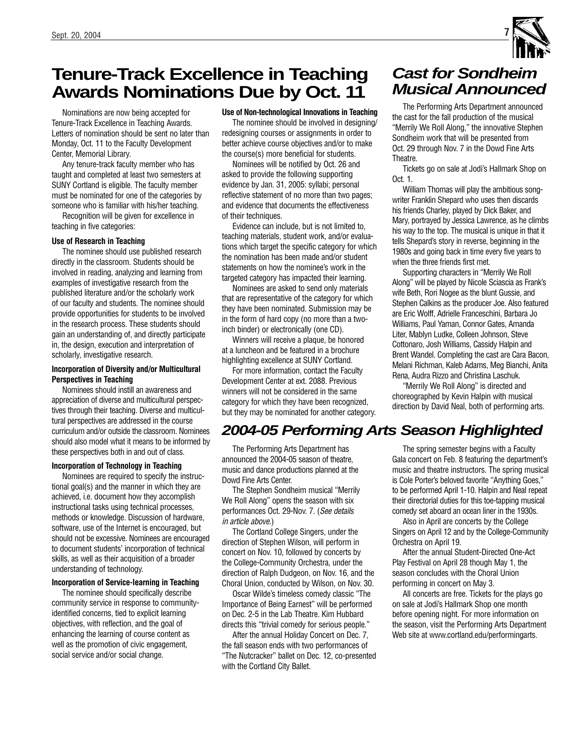## **Tenure-Track Excellence in Teaching Awards Nominations Due by Oct. 11**

Nominations are now being accepted for Tenure-Track Excellence in Teaching Awards. Letters of nomination should be sent no later than Monday, Oct. 11 to the Faculty Development Center, Memorial Library.

Any tenure-track faculty member who has taught and completed at least two semesters at SUNY Cortland is eligible. The faculty member must be nominated for one of the categories by someone who is familiar with his/her teaching.

Recognition will be given for excellence in teaching in five categories:

#### **Use of Research in Teaching**

The nominee should use published research directly in the classroom. Students should be involved in reading, analyzing and learning from examples of investigative research from the published literature and/or the scholarly work of our faculty and students. The nominee should provide opportunities for students to be involved in the research process. These students should gain an understanding of, and directly participate in, the design, execution and interpretation of scholarly, investigative research.

#### **Incorporation of Diversity and/or Multicultural Perspectives in Teaching**

Nominees should instill an awareness and appreciation of diverse and multicultural perspectives through their teaching. Diverse and multicultural perspectives are addressed in the course curriculum and/or outside the classroom. Nominees should also model what it means to be informed by these perspectives both in and out of class.

#### **Incorporation of Technology in Teaching**

Nominees are required to specify the instructional goal(s) and the manner in which they are achieved, i.e. document how they accomplish instructional tasks using technical processes, methods or knowledge. Discussion of hardware, software, use of the Internet is encouraged, but should not be excessive. Nominees are encouraged to document students' incorporation of technical skills, as well as their acquisition of a broader understanding of technology.

#### **Incorporation of Service-learning in Teaching**

The nominee should specifically describe community service in response to communityidentified concerns, tied to explicit learning objectives, with reflection, and the goal of enhancing the learning of course content as well as the promotion of civic engagement, social service and/or social change.

#### **Use of Non-technological Innovations in Teaching**

The nominee should be involved in designing/ redesigning courses or assignments in order to better achieve course objectives and/or to make the course(s) more beneficial for students.

Nominees will be notified by Oct. 26 and asked to provide the following supporting evidence by Jan. 31, 2005: syllabi; personal reflective statement of no more than two pages; and evidence that documents the effectiveness of their techniques.

Evidence can include, but is not limited to, teaching materials, student work, and/or evaluations which target the specific category for which the nomination has been made and/or student statements on how the nominee's work in the targeted category has impacted their learning.

Nominees are asked to send only materials that are representative of the category for which they have been nominated. Submission may be in the form of hard copy (no more than a twoinch binder) or electronically (one CD).

Winners will receive a plaque, be honored at a luncheon and be featured in a brochure highlighting excellence at SUNY Cortland.

For more information, contact the Faculty Development Center at ext. 2088. Previous winners will not be considered in the same category for which they have been recognized, but they may be nominated for another category.

## **Cast for Sondheim Musical Announced**

The Performing Arts Department announced the cast for the fall production of the musical "Merrily We Roll Along," the innovative Stephen Sondheim work that will be presented from Oct. 29 through Nov. 7 in the Dowd Fine Arts Theatre.

Tickets go on sale at Jodi's Hallmark Shop on Oct. 1.

William Thomas will play the ambitious songwriter Franklin Shepard who uses then discards his friends Charley, played by Dick Baker, and Mary, portrayed by Jessica Lawrence, as he climbs his way to the top. The musical is unique in that it tells Shepard's story in reverse, beginning in the 1980s and going back in time every five years to when the three friends first met.

Supporting characters in "Merrily We Roll Along" will be played by Nicole Sciascia as Frank's wife Beth, Rori Nogee as the blunt Gussie, and Stephen Calkins as the producer Joe. Also featured are Eric Wolff, Adrielle Franceschini, Barbara Jo Williams, Paul Yaman, Connor Gates, Amanda Liter, Mablyn Ludke, Colleen Johnson, Steve Cottonaro, Josh Williams, Cassidy Halpin and Brent Wandel. Completing the cast are Cara Bacon, Melani Richman, Kaleb Adams, Meg Bianchi, Anita Rena, Audra Rizzo and Christina Laschuk.

"Merrily We Roll Along" is directed and choreographed by Kevin Halpin with musical direction by David Neal, both of performing arts.

## **2004-05 Performing Arts Season Highlighted**

The Performing Arts Department has announced the 2004-05 season of theatre, music and dance productions planned at the Dowd Fine Arts Center.

The Stephen Sondheim musical "Merrily We Roll Along" opens the season with six performances Oct. 29-Nov. 7. (See details in article above.)

The Cortland College Singers, under the direction of Stephen Wilson, will perform in concert on Nov. 10, followed by concerts by the College-Community Orchestra, under the direction of Ralph Dudgeon, on Nov. 16, and the Choral Union, conducted by Wilson, on Nov. 30.

Oscar Wilde's timeless comedy classic "The Importance of Being Earnest" will be performed on Dec. 2-5 in the Lab Theatre. Kim Hubbard directs this "trivial comedy for serious people."

After the annual Holiday Concert on Dec. 7, the fall season ends with two performances of "The Nutcracker" ballet on Dec. 12, co-presented with the Cortland City Ballet.

The spring semester begins with a Faculty Gala concert on Feb. 8 featuring the department's music and theatre instructors. The spring musical is Cole Porter's beloved favorite "Anything Goes," to be performed April 1-10. Halpin and Neal repeat their directorial duties for this toe-tapping musical comedy set aboard an ocean liner in the 1930s.

Also in April are concerts by the College Singers on April 12 and by the College-Community Orchestra on April 19.

After the annual Student-Directed One-Act Play Festival on April 28 though May 1, the season concludes with the Choral Union performing in concert on May 3.

All concerts are free. Tickets for the plays go on sale at Jodi's Hallmark Shop one month before opening night. For more information on the season, visit the Performing Arts Department Web site at www.cortland.edu/performingarts.

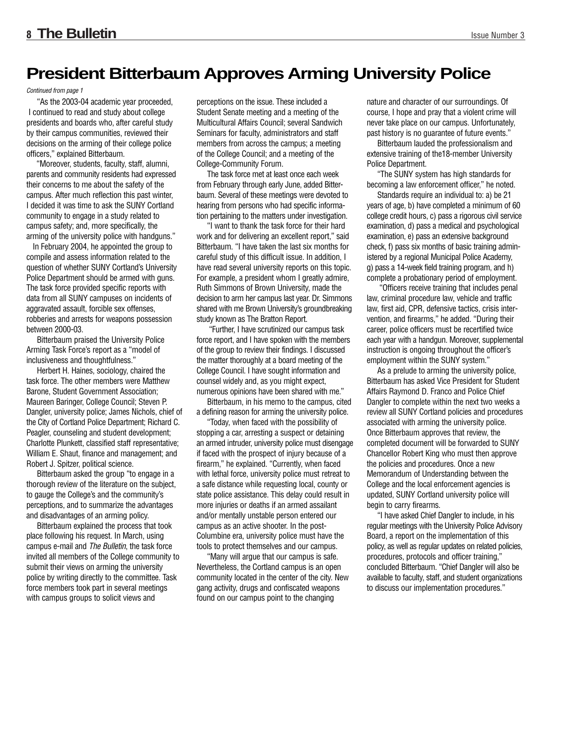## **President Bitterbaum Approves Arming University Police**

Continued from page 1

"As the 2003-04 academic year proceeded, I continued to read and study about college presidents and boards who, after careful study by their campus communities, reviewed their decisions on the arming of their college police officers," explained Bitterbaum.

"Moreover, students, faculty, staff, alumni, parents and community residents had expressed their concerns to me about the safety of the campus. After much reflection this past winter, I decided it was time to ask the SUNY Cortland community to engage in a study related to campus safety; and, more specifically, the arming of the university police with handguns."

In February 2004, he appointed the group to compile and assess information related to the question of whether SUNY Cortland's University Police Department should be armed with guns. The task force provided specific reports with data from all SUNY campuses on incidents of aggravated assault, forcible sex offenses, robberies and arrests for weapons possession between 2000-03.

Bitterbaum praised the University Police Arming Task Force's report as a "model of inclusiveness and thoughtfulness."

Herbert H. Haines, sociology, chaired the task force. The other members were Matthew Barone, Student Government Association; Maureen Baringer, College Council; Steven P. Dangler, university police; James Nichols, chief of the City of Cortland Police Department; Richard C. Peagler, counseling and student development; Charlotte Plunkett, classified staff representative; William E. Shaut, finance and management; and Robert J. Spitzer, political science.

Bitterbaum asked the group "to engage in a thorough review of the literature on the subject, to gauge the College's and the community's perceptions, and to summarize the advantages and disadvantages of an arming policy.

Bitterbaum explained the process that took place following his request. In March, using campus e-mail and The Bulletin, the task force invited all members of the College community to submit their views on arming the university police by writing directly to the committee. Task force members took part in several meetings with campus groups to solicit views and

perceptions on the issue. These included a Student Senate meeting and a meeting of the Multicultural Affairs Council; several Sandwich Seminars for faculty, administrators and staff members from across the campus; a meeting of the College Council; and a meeting of the College-Community Forum.

The task force met at least once each week from February through early June, added Bitterbaum. Several of these meetings were devoted to hearing from persons who had specific information pertaining to the matters under investigation.

"I want to thank the task force for their hard work and for delivering an excellent report," said Bitterbaum. "I have taken the last six months for careful study of this difficult issue. In addition, I have read several university reports on this topic. For example, a president whom I greatly admire, Ruth Simmons of Brown University, made the decision to arm her campus last year. Dr. Simmons shared with me Brown University's groundbreaking study known as The Bratton Report.

"Further, I have scrutinized our campus task force report, and I have spoken with the members of the group to review their findings. I discussed the matter thoroughly at a board meeting of the College Council. I have sought information and counsel widely and, as you might expect, numerous opinions have been shared with me."

Bitterbaum, in his memo to the campus, cited a defining reason for arming the university police.

"Today, when faced with the possibility of stopping a car, arresting a suspect or detaining an armed intruder, university police must disengage if faced with the prospect of injury because of a firearm," he explained. "Currently, when faced with lethal force, university police must retreat to a safe distance while requesting local, county or state police assistance. This delay could result in more injuries or deaths if an armed assailant and/or mentally unstable person entered our campus as an active shooter. In the post-Columbine era, university police must have the tools to protect themselves and our campus.

"Many will argue that our campus is safe. Nevertheless, the Cortland campus is an open community located in the center of the city. New gang activity, drugs and confiscated weapons found on our campus point to the changing

nature and character of our surroundings. Of course, I hope and pray that a violent crime will never take place on our campus. Unfortunately, past history is no guarantee of future events."

Bitterbaum lauded the professionalism and extensive training of the18-member University Police Department.

"The SUNY system has high standards for becoming a law enforcement officer," he noted.

Standards require an individual to: a) be 21 years of age, b) have completed a minimum of 60 college credit hours, c) pass a rigorous civil service examination, d) pass a medical and psychological examination, e) pass an extensive background check, f) pass six months of basic training administered by a regional Municipal Police Academy, g) pass a 14-week field training program, and h) complete a probationary period of employment.

"Officers receive training that includes penal law, criminal procedure law, vehicle and traffic law, first aid, CPR, defensive tactics, crisis intervention, and firearms," he added. "During their career, police officers must be recertified twice each year with a handgun. Moreover, supplemental instruction is ongoing throughout the officer's employment within the SUNY system."

As a prelude to arming the university police, Bitterbaum has asked Vice President for Student Affairs Raymond D. Franco and Police Chief Dangler to complete within the next two weeks a review all SUNY Cortland policies and procedures associated with arming the university police. Once Bitterbaum approves that review, the completed document will be forwarded to SUNY Chancellor Robert King who must then approve the policies and procedures. Once a new Memorandum of Understanding between the College and the local enforcement agencies is updated, SUNY Cortland university police will begin to carry firearms.

"I have asked Chief Dangler to include, in his regular meetings with the University Police Advisory Board, a report on the implementation of this policy, as well as regular updates on related policies, procedures, protocols and officer training," concluded Bitterbaum. "Chief Dangler will also be available to faculty, staff, and student organizations to discuss our implementation procedures."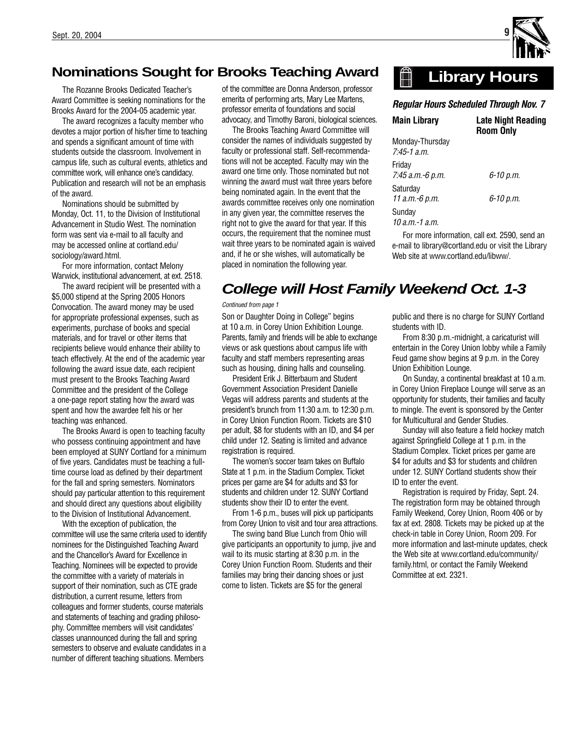

## **Nominations Sought for Brooks Teaching Award**

The Rozanne Brooks Dedicated Teacher's Award Committee is seeking nominations for the Brooks Award for the 2004-05 academic year.

The award recognizes a faculty member who devotes a major portion of his/her time to teaching and spends a significant amount of time with students outside the classroom. Involvement in campus life, such as cultural events, athletics and committee work, will enhance one's candidacy. Publication and research will not be an emphasis of the award.

Nominations should be submitted by Monday, Oct. 11, to the Division of Institutional Advancement in Studio West. The nomination form was sent via e-mail to all faculty and may be accessed online at cortland.edu/ sociology/award.html.

For more information, contact Melony Warwick, institutional advancement, at ext. 2518.

The award recipient will be presented with a \$5,000 stipend at the Spring 2005 Honors Convocation. The award money may be used for appropriate professional expenses, such as experiments, purchase of books and special materials, and for travel or other items that recipients believe would enhance their ability to teach effectively. At the end of the academic year following the award issue date, each recipient must present to the Brooks Teaching Award Committee and the president of the College a one-page report stating how the award was spent and how the awardee felt his or her teaching was enhanced.

The Brooks Award is open to teaching faculty who possess continuing appointment and have been employed at SUNY Cortland for a minimum of five years. Candidates must be teaching a fulltime course load as defined by their department for the fall and spring semesters. Nominators should pay particular attention to this requirement and should direct any questions about eligibility to the Division of Institutional Advancement.

With the exception of publication, the committee will use the same criteria used to identify nominees for the Distinguished Teaching Award and the Chancellor's Award for Excellence in Teaching. Nominees will be expected to provide the committee with a variety of materials in support of their nomination, such as CTE grade distribution, a current resume, letters from colleagues and former students, course materials and statements of teaching and grading philosophy. Committee members will visit candidates' classes unannounced during the fall and spring semesters to observe and evaluate candidates in a number of different teaching situations. Members

of the committee are Donna Anderson, professor emerita of performing arts, Mary Lee Martens, professor emerita of foundations and social advocacy, and Timothy Baroni, biological sciences.

The Brooks Teaching Award Committee will consider the names of individuals suggested by faculty or professional staff. Self-recommendations will not be accepted. Faculty may win the award one time only. Those nominated but not winning the award must wait three years before being nominated again. In the event that the awards committee receives only one nomination in any given year, the committee reserves the right not to give the award for that year. If this occurs, the requirement that the nominee must wait three years to be nominated again is waived and, if he or she wishes, will automatically be placed in nomination the following year.

#### **Library Hours**   $\mathbb{H}$

### *Regular Hours Scheduled Through Nov. 7*

| Main Library                       | <b>Late Night Reading</b><br><b>Room Only</b> |
|------------------------------------|-----------------------------------------------|
| Monday-Thursday<br>$7:45-1$ a.m.   |                                               |
| Fridav<br>7:45 а.т.-6 р.т.         | 6-10 p.m.                                     |
| Saturdav<br>11 а.т.-6 <i>p.</i> т. | 6-10 p.m.                                     |
| Sundav<br>$10$ a.m.-1 a.m.         |                                               |

For more information, call ext. 2590, send an e-mail to library@cortland.edu or visit the Library Web site at www.cortland.edu/libww/.

## **College will Host Family Weekend Oct. 1-3**

#### Continued from page 1

Son or Daughter Doing in College" begins at 10 a.m. in Corey Union Exhibition Lounge. Parents, family and friends will be able to exchange views or ask questions about campus life with faculty and staff members representing areas such as housing, dining halls and counseling.

President Erik J. Bitterbaum and Student Government Association President Danielle Vegas will address parents and students at the president's brunch from 11:30 a.m. to 12:30 p.m. in Corey Union Function Room. Tickets are \$10 per adult, \$8 for students with an ID, and \$4 per child under 12. Seating is limited and advance registration is required.

The women's soccer team takes on Buffalo State at 1 p.m. in the Stadium Complex. Ticket prices per game are \$4 for adults and \$3 for students and children under 12. SUNY Cortland students show their ID to enter the event.

From 1-6 p.m., buses will pick up participants from Corey Union to visit and tour area attractions.

The swing band Blue Lunch from Ohio will give participants an opportunity to jump, jive and wail to its music starting at 8:30 p.m. in the Corey Union Function Room. Students and their families may bring their dancing shoes or just come to listen. Tickets are \$5 for the general

public and there is no charge for SUNY Cortland students with ID.

From 8:30 p.m.-midnight, a caricaturist will entertain in the Corey Union lobby while a Family Feud game show begins at 9 p.m. in the Corey Union Exhibition Lounge.

On Sunday, a continental breakfast at 10 a.m. in Corey Union Fireplace Lounge will serve as an opportunity for students, their families and faculty to mingle. The event is sponsored by the Center for Multicultural and Gender Studies.

Sunday will also feature a field hockey match against Springfield College at 1 p.m. in the Stadium Complex. Ticket prices per game are \$4 for adults and \$3 for students and children under 12. SUNY Cortland students show their ID to enter the event.

Registration is required by Friday, Sept. 24. The registration form may be obtained through Family Weekend, Corey Union, Room 406 or by fax at ext. 2808. Tickets may be picked up at the check-in table in Corey Union, Room 209. For more information and last-minute updates, check the Web site at www.cortland.edu/community/ family.html, or contact the Family Weekend Committee at ext. 2321.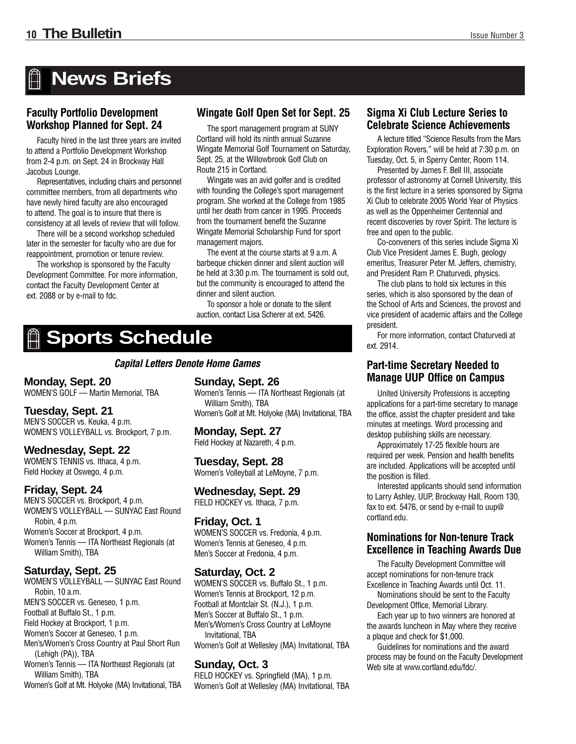# **News Briefs**

### **Faculty Portfolio Development Workshop Planned for Sept. 24**

Faculty hired in the last three years are invited to attend a Portfolio Development Workshop from 2-4 p.m. on Sept. 24 in Brockway Hall Jacobus Lounge.

Representatives, including chairs and personnel committee members, from all departments who have newly hired faculty are also encouraged to attend. The goal is to insure that there is consistency at all levels of review that will follow.

There will be a second workshop scheduled later in the semester for faculty who are due for reappointment, promotion or tenure review.

The workshop is sponsored by the Faculty Development Committee. For more information, contact the Faculty Development Center at ext. 2088 or by e-mail to fdc.

### **Wingate Golf Open Set for Sept. 25**

The sport management program at SUNY Cortland will hold its ninth annual Suzanne Wingate Memorial Golf Tournament on Saturday, Sept. 25, at the Willowbrook Golf Club on Route 215 in Cortland.

Wingate was an avid golfer and is credited with founding the College's sport management program. She worked at the College from 1985 until her death from cancer in 1995. Proceeds from the tournament benefit the Suzanne Wingate Memorial Scholarship Fund for sport management majors.

The event at the course starts at 9 a.m. A barbeque chicken dinner and silent auction will be held at 3:30 p.m. The tournament is sold out, but the community is encouraged to attend the dinner and silent auction.

To sponsor a hole or donate to the silent auction, contact Lisa Scherer at ext. 5426.

# **Sports Schedule**

*Capital Letters Denote Home Games*

### **Monday, Sept. 20**

WOMEN'S GOLF — Martin Memorial, TBA

### **Tuesday, Sept. 21**

MEN'S SOCCER vs. Keuka, 4 p.m. WOMEN'S VOLLEYBALL vs. Brockport, 7 p.m.

### **Wednesday, Sept. 22**

WOMEN'S TENNIS vs. Ithaca, 4 p.m. Field Hockey at Oswego, 4 p.m.

### **Friday, Sept. 24**

MEN'S SOCCER vs. Brockport, 4 p.m. WOMEN'S VOLLEYBALL — SUNYAC East Round Robin, 4 p.m. Women's Soccer at Brockport, 4 p.m. Women's Tennis — ITA Northeast Regionals (at William Smith), TBA

### **Saturday, Sept. 25**

WOMEN'S VOLLEYBALL — SUNYAC East Round Robin, 10 a.m. MEN'S SOCCER vs. Geneseo, 1 p.m. Football at Buffalo St., 1 p.m. Field Hockey at Brockport, 1 p.m. Women's Soccer at Geneseo, 1 p.m. Men's/Women's Cross Country at Paul Short Run (Lehigh (PA)), TBA Women's Tennis — ITA Northeast Regionals (at William Smith), TBA

Women's Golf at Mt. Holyoke (MA) Invitational, TBA

### **Sunday, Sept. 26**

Women's Tennis — ITA Northeast Regionals (at William Smith), TBA Women's Golf at Mt. Holyoke (MA) Invitational, TBA

**Monday, Sept. 27** Field Hockey at Nazareth, 4 p.m.

**Tuesday, Sept. 28**

Women's Volleyball at LeMoyne, 7 p.m.

## **Wednesday, Sept. 29**

FIELD HOCKEY vs. Ithaca, 7 p.m.

### **Friday, Oct. 1**

WOMEN'S SOCCER vs. Fredonia, 4 p.m. Women's Tennis at Geneseo, 4 p.m. Men's Soccer at Fredonia, 4 p.m.

### **Saturday, Oct. 2**

WOMEN'S SOCCER vs. Buffalo St., 1 p.m. Women's Tennis at Brockport, 12 p.m. Football at Montclair St. (N.J.), 1 p.m. Men's Soccer at Buffalo St., 1 p.m. Men's/Women's Cross Country at LeMoyne Invitational, TBA Women's Golf at Wellesley (MA) Invitational, TBA

### **Sunday, Oct. 3**

FIELD HOCKEY vs. Springfield (MA), 1 p.m. Women's Golf at Wellesley (MA) Invitational, TBA

### **Sigma Xi Club Lecture Series to Celebrate Science Achievements**

A lecture titled "Science Results from the Mars Exploration Rovers," will be held at 7:30 p.m. on Tuesday, Oct. 5, in Sperry Center, Room 114.

Presented by James F. Bell III, associate professor of astronomy at Cornell University, this is the first lecture in a series sponsored by Sigma Xi Club to celebrate 2005 World Year of Physics as well as the Oppenheimer Centennial and recent discoveries by rover Spirit. The lecture is free and open to the public.

Co-conveners of this series include Sigma Xi Club Vice President James E. Bugh, geology emeritus, Treasurer Peter M. Jeffers, chemistry, and President Ram P. Chaturvedi, physics.

The club plans to hold six lectures in this series, which is also sponsored by the dean of the School of Arts and Sciences, the provost and vice president of academic affairs and the College president.

For more information, contact Chaturvedi at ext. 2914.

### **Part-time Secretary Needed to Manage UUP Office on Campus**

United University Professions is accepting applications for a part-time secretary to manage the office, assist the chapter president and take minutes at meetings. Word processing and desktop publishing skills are necessary.

Approximately 17-25 flexible hours are required per week. Pension and health benefits are included. Applications will be accepted until the position is filled.

Interested applicants should send information to Larry Ashley, UUP, Brockway Hall, Room 130, fax to ext. 5476, or send by e-mail to uup@ cortland.edu.

### **Nominations for Non-tenure Track Excellence in Teaching Awards Due**

The Faculty Development Committee will accept nominations for non-tenure track Excellence in Teaching Awards until Oct. 11.

Nominations should be sent to the Faculty Development Office, Memorial Library.

Each year up to two winners are honored at the awards luncheon in May where they receive a plaque and check for \$1,000.

Guidelines for nominations and the award process may be found on the Faculty Development Web site at www.cortland.edu/fdc/.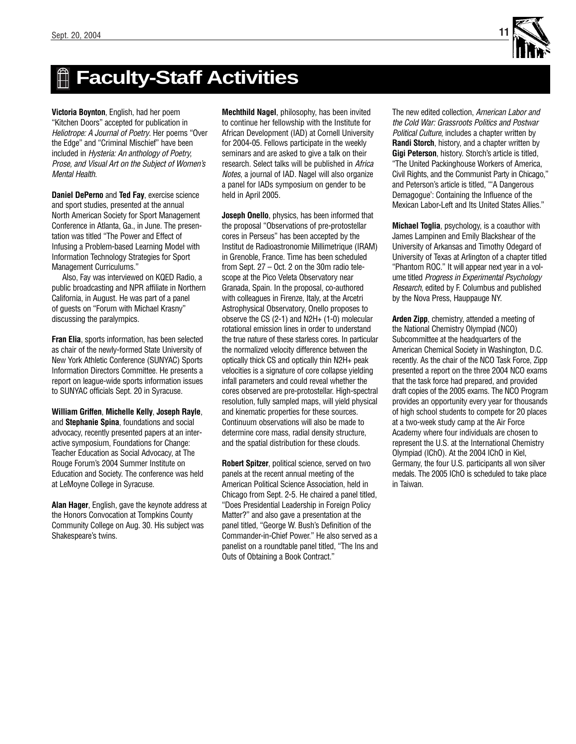

# **Faculty-Staff Activities**

**Victoria Boynton**, English, had her poem "Kitchen Doors" accepted for publication in Heliotrope: A Journal of Poetry. Her poems "Over the Edge" and "Criminal Mischief" have been included in Hysteria: An anthology of Poetry, Prose, and Visual Art on the Subject of Women's Mental Health.

**Daniel DePerno** and **Ted Fay**, exercise science and sport studies, presented at the annual North American Society for Sport Management Conference in Atlanta, Ga., in June. The presentation was titled "The Power and Effect of Infusing a Problem-based Learning Model with Information Technology Strategies for Sport Management Curriculums."

Also, Fay was interviewed on KQED Radio, a public broadcasting and NPR affiliate in Northern California, in August. He was part of a panel of guests on "Forum with Michael Krasny" discussing the paralympics.

**Fran Elia**, sports information, has been selected as chair of the newly-formed State University of New York Athletic Conference (SUNYAC) Sports Information Directors Committee. He presents a report on league-wide sports information issues to SUNYAC officials Sept. 20 in Syracuse.

**William Griffen**, **Michelle Kelly**, **Joseph Rayle**, and **Stephanie Spina**, foundations and social advocacy, recently presented papers at an interactive symposium, Foundations for Change: Teacher Education as Social Advocacy, at The Rouge Forum's 2004 Summer Institute on Education and Society. The conference was held at LeMoyne College in Syracuse.

**Alan Hager**, English, gave the keynote address at the Honors Convocation at Tompkins County Community College on Aug. 30. His subject was Shakespeare's twins.

**Mechthild Nagel**, philosophy, has been invited to continue her fellowship with the Institute for African Development (IAD) at Cornell University for 2004-05. Fellows participate in the weekly seminars and are asked to give a talk on their research. Select talks will be published in Africa Notes, a journal of IAD. Nagel will also organize a panel for IADs symposium on gender to be held in April 2005.

**Joseph Onello**, physics, has been informed that the proposal "Observations of pre-protostellar cores in Perseus" has been accepted by the Institut de Radioastronomie Millimetrique (IRAM) in Grenoble, France. Time has been scheduled from Sept. 27 – Oct. 2 on the 30m radio telescope at the Pico Veleta Observatory near Granada, Spain. In the proposal, co-authored with colleagues in Firenze, Italy, at the Arcetri Astrophysical Observatory, Onello proposes to observe the CS (2-1) and N2H+ (1-0) molecular rotational emission lines in order to understand the true nature of these starless cores. In particular the normalized velocity difference between the optically thick CS and optically thin N2H+ peak velocities is a signature of core collapse yielding infall parameters and could reveal whether the cores observed are pre-protostellar. High-spectral resolution, fully sampled maps, will yield physical and kinematic properties for these sources. Continuum observations will also be made to determine core mass, radial density structure, and the spatial distribution for these clouds.

**Robert Spitzer**, political science, served on two panels at the recent annual meeting of the American Political Science Association, held in Chicago from Sept. 2-5. He chaired a panel titled, "Does Presidential Leadership in Foreign Policy Matter?" and also gave a presentation at the panel titled, "George W. Bush's Definition of the Commander-in-Chief Power." He also served as a panelist on a roundtable panel titled, "The Ins and Outs of Obtaining a Book Contract."

The new edited collection, American Labor and the Cold War: Grassroots Politics and Postwar Political Culture, includes a chapter written by **Randi Storch**, history, and a chapter written by **Gigi Peterson**, history. Storch's article is titled, "The United Packinghouse Workers of America, Civil Rights, and the Communist Party in Chicago," and Peterson's article is titled, "'A Dangerous Demagogue': Containing the Influence of the Mexican Labor-Left and Its United States Allies."

**Michael Toglia**, psychology, is a coauthor with James Lampinen and Emily Blackshear of the University of Arkansas and Timothy Odegard of University of Texas at Arlington of a chapter titled "Phantom ROC." It will appear next year in a volume titled Progress in Experimental Psychology Research, edited by F. Columbus and published by the Nova Press, Hauppauge NY.

**Arden Zipp**, chemistry, attended a meeting of the National Chemistry Olympiad (NCO) Subcommittee at the headquarters of the American Chemical Society in Washington, D.C. recently. As the chair of the NCO Task Force, Zipp presented a report on the three 2004 NCO exams that the task force had prepared, and provided draft copies of the 2005 exams. The NCO Program provides an opportunity every year for thousands of high school students to compete for 20 places at a two-week study camp at the Air Force Academy where four individuals are chosen to represent the U.S. at the International Chemistry Olympiad (IChO). At the 2004 IChO in Kiel, Germany, the four U.S. participants all won silver medals. The 2005 IChO is scheduled to take place in Taiwan.